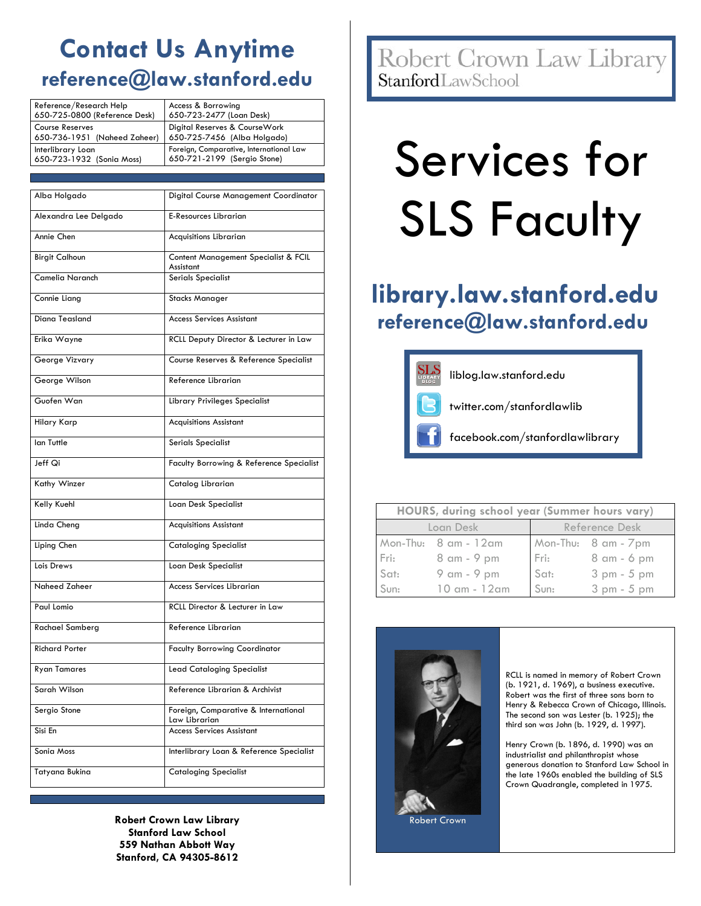## **Contact Us Anytime reference@law.stanford.edu**

| Reference/Research Help       | Access & Borrowing                      |  |
|-------------------------------|-----------------------------------------|--|
| 650-725-0800 (Reference Desk) | 650-723-2477 (Loan Desk)                |  |
| <b>Course Reserves</b>        | Digital Reserves & CourseWork           |  |
| 650-736-1951 (Naheed Zaheer)  | 650-725-7456 (Alba Holgado)             |  |
| Interlibrary Loan             | Foreign, Comparative, International Law |  |
| 650-723-1932 (Sonia Moss)     | 650-721-2199 (Sergio Stone)             |  |

| Alba Holgado          | Digital Course Management Coordinator                 |  |  |
|-----------------------|-------------------------------------------------------|--|--|
| Alexandra Lee Delgado | <b>E-Resources Librarian</b>                          |  |  |
| Annie Chen            | Acquisitions Librarian                                |  |  |
| <b>Birgit Calhoun</b> | Content Management Specialist & FCIL<br>Assistant     |  |  |
| Camelia Naranch       | <b>Serials Specialist</b>                             |  |  |
| Connie Liang          | <b>Stacks Manager</b>                                 |  |  |
| Diana Teasland        | <b>Access Services Assistant</b>                      |  |  |
| Erika Wayne           | RCLL Deputy Director & Lecturer in Law                |  |  |
| George Vizvary        | Course Reserves & Reference Specialist                |  |  |
| George Wilson         | Reference Librarian                                   |  |  |
| Guofen Wan            | Library Privileges Specialist                         |  |  |
| <b>Hilary Karp</b>    | <b>Acquisitions Assistant</b>                         |  |  |
| lan Tuttle            | Serials Specialist                                    |  |  |
| Jeff Qi               | Faculty Borrowing & Reference Specialist              |  |  |
| Kathy Winzer          | Catalog Librarian                                     |  |  |
| <b>Kelly Kuehl</b>    | Loan Desk Specialist                                  |  |  |
| Linda Cheng           | <b>Acquisitions Assistant</b>                         |  |  |
| Liping Chen           | <b>Cataloging Specialist</b>                          |  |  |
| Lois Drews            | Loan Desk Specialist                                  |  |  |
| Naheed Zaheer         | <b>Access Services Librarian</b>                      |  |  |
| Paul Lomio            | RCLL Director & Lecturer in Law                       |  |  |
| Rachael Samberg       | Reference Librarian                                   |  |  |
| <b>Richard Porter</b> | <b>Faculty Borrowing Coordinator</b>                  |  |  |
| <b>Ryan Tamares</b>   | <b>Lead Cataloging Specialist</b>                     |  |  |
| Sarah Wilson          | Reference Librarian & Archivist                       |  |  |
| Sergio Stone          | Foreign, Comparative & International<br>Law Librarian |  |  |
| Sisi En               | <b>Access Services Assistant</b>                      |  |  |
| Sonia Moss            | Interlibrary Loan & Reference Specialist              |  |  |
| Tatyana Bukina        | <b>Cataloging Specialist</b>                          |  |  |

**Robert Crown Law Library Stanford Law School 559 Nathan Abbott Way Stanford, CA 94305-8612**

Robert Crown Law Library **Stanford**LawSchool

# Services for SLS Faculty

### **library.law.stanford.edu reference@law.stanford.edu**



| HOURS, during school year (Summer hours vary) |                                         |                |                      |  |  |
|-----------------------------------------------|-----------------------------------------|----------------|----------------------|--|--|
| Loan Desk                                     |                                         | Reference Desk |                      |  |  |
|                                               | Mon-Thu: $8 \text{ cm} - 12 \text{ cm}$ |                | Mon-Thu: 8 am - 7 pm |  |  |
|                                               | Fri: 8 am - 9 pm                        |                | Fri: 8 am - 6 pm     |  |  |
| Sat:                                          | 9 am - 9 pm                             | Sat:           | 3 pm - 5 pm          |  |  |
| Sun:                                          | $10 \text{ cm} - 12 \text{ cm}$         | Sun:           | 3 pm - 5 pm          |  |  |



RCLL is named in memory of Robert Crown (b. 1921, d. 1969), a business executive. Robert was the first of three sons born to Henry & Rebecca Crown of Chicago, Illinois. The second son was Lester (b. 1925); the third son was John (b. 1929, d. 1997).

Henry Crown (b. 1896, d. 1990) was an industrialist and philanthropist whose generous donation to Stanford Law School in the late 1960s enabled the building of SLS Crown Quadrangle, completed in 1975.